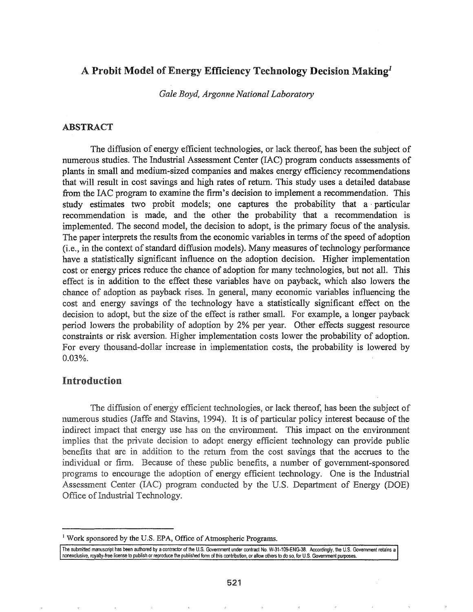# A Probit Model of Energy Efficiency Technology Decision Making<sup>1</sup>

*Gale Boyd, Argonne National Laboratory*

#### ABSTRACT

The diffusion of energy efficient technologies, or lack thereof, has been the subject of numerous studies. The Industrial Assessment Center (IAC) program conducts assessments of plants in small and medium-sized companies and makes energy efficiency recommendations that will result in cost savings and high rates of return. This study uses a detailed database from the IAC program to examine the firm's decision to implement a recommendation. This study estimates two probit models; one captures the probability that a· particular recommendation is made, and the other the probability that a recommendation is implemented. The second model, the decision to adopt, is the primary focus of the analysis. The paper interprets the results from the economic variables in terms of the speed of adoption  $(i.e., in the context of standard diffusion models)$ . Many measures of technology performance have a statistically significant influence on the adoption decision. Higher implementation cost or energy prices reduce the chance of adoption for many technologies, but not alL This effect is in addition to the effect these variables have on payback, which also lowers the chance of adoption as payback rises. In general, many economic variables influencing the cost and energy savings of the technology have a statistically significant effect on the decision to adopt, but the size of the effect is rather small. For example, a longer payback period lowers the probability of adoption by 2% per year. Other effects suggest resource constraints or risk aversion. Higher implementation costs lower the probability of adoption. For every thousand-dollar increase in implementation costs, the probability is lowered by 0.03%..

## Introduction

The diffusion of energy efficient technologies, or lack thereof, has been the subject of numerous studies (Jaffe and Stavins, 1994). It is of particular policy interest because of the indirect impact that energy use has on the environment. This impact on the environment implies that the private decision to adopt energy efficient technology can provide public benefits that are in addition to the return from the cost savings that the accrues to the individual or firm. Because of these public benefits, a number of government-sponsored programs to encourage the adoption of energy efficient technology. One is the Industrial Assessment Center (IAC) program conducted by the U.S. Department of Energy (DOE) Office of Industrial Technology.

<sup>&</sup>lt;sup>1</sup> Work sponsored by the U.S. EPA, Office of Atmospheric Programs.

The submitted manuscript has been authored by acontractor of the U.S. Government under contract No. W-31-109-ENG-38. Accordingly, the U.S. Government retains a nonexclusive, royalty-free license to publish or reproduce the published form of this contribution, or allow others to do so, for U.S. Government purposes.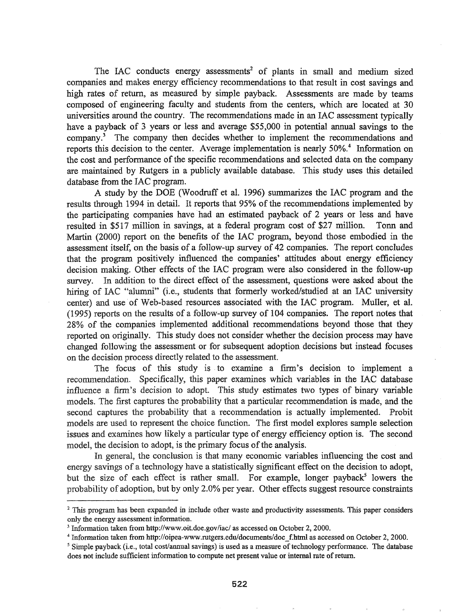The IAC conducts energy assessments<sup>2</sup> of plants in small and medium sized companies and makes energy efficiency recommendations to that result in cost savings and high rates of return, as measured by simple payback. Assessments are made by teams composed of engineering faculty and students from the centers, which are located at 30 universities around the country. The recommendations made in an IAC assessment typically have a payback of 3 years or less and average \$55,000 in potential annual savings to the company.<sup>3</sup> The company then decides whether to implement the recommendations and reports this decision to the center. Average implementation is nearly 50%.<sup>4</sup> Information on the cost and performance of the specific recommendations and selected data on the company are maintained by Rutgers in a publicly available database. This study uses this detailed database from the IAC program.

A study by the DOE (Woodruff et al. 1996) summarizes the IAC program and the results through 1994 in detail. It reports that 95% of the recommendations implemented by the participating companies have' had an estimated payback of 2 years or less and have resulted in \$517 million in savings, at a federal program cost of \$27 million. Tonn and Martin (2000) report on the benefits of the IAC program, beyond those embodied in the assessment itself, on the basis of a follow-up survey of 42 companies. The report concludes that the program positively influenced the companies' attitudes about energy efficiency decision making. Other effects of the lAC program were also considered in the follow-up survey. In addition to the direct effect of the assessment, questions were asked about the hiring of IAC "alumni" (i.e., students that formerly worked/studied at an IAC university center) and use of Web-based resources associated with the IAC program. Muller, et al. (1995) reports on the results of a follow-up survey of 104 companies. The report notes that 28% of the companies implemented additional recommendations beyond those that they reported on originally. This study does not consider whether the decision process may have changed following the assessment or for subsequent adoption decisions but instead focuses on the decision process directly related to the assessment,

The focus of this study is to examine a firm's decision to implement a recommendation. Specifically, this paper examines which variables in the IAC database influence a finn's decision to adopt. This study estimates two types of binary variable models. The first captures the probability that a particular recommendation is made, and the second captures the probability that a recommendation is actually implemented. Probit models are used to represent the choice function. The first model explores sample selection issues and examines how likely a particular type of energy efficiency option is. The second model, the decision to adopt, is the primary focus of the analysis.

In general, the conclusion is that many economic variables influencing the cost and energy savings of a technology have a statistically significant effect on the decision to adopt, but the size of each effect is rather small. For example, longer payback<sup>5</sup> lowers the probability of adoption, but by only 2.0% per year. Other effects suggest resource constraints

<sup>&</sup>lt;sup>2</sup> This program has been expanded in include other waste and productivity assessments. This paper considers only the energy assessment information.

<sup>3</sup> Information taken from http://www.oit.doe.gov/iac/ as accessed on October 2, 2000.

<sup>&</sup>lt;sup>4</sup> Information taken from http://oipea-www.rutgers.edu/documents/doc f.html as accessed on October 2, 2000.

<sup>&</sup>lt;sup>5</sup> Simple payback (i.e., total cost/annual savings) is used as a measure of technology performance. The database does not include sufficient information to compute net present value or internal rate of return.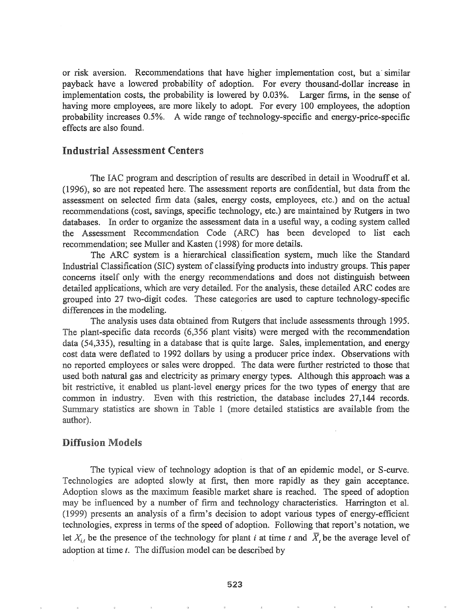or risk aversion. Recommendations that have higher implementation cost, but a- similar payback have a lowered probability of adoption. For every thousand-dollar increase in implementation costs, the probability is lowered by 0.03%. Larger firms, in the sense of having more employees, are more likely to adopt. For every 100 employees, the adoption probability increases 0.5%. A wide range of technology-specific and energy-price-specific effects are also found.

## Industrial Assessment Centers

The IAC program and description of results are described in detail in Woodruff et al.  $(1996)$ , so are not repeated here. The assessment reports are confidential, but data from the assessment on selected firm data (sales, energy costs, employees, etc.) and on the actual recommendations (cost, savings, specific technology, etc.) are maintained by Rutgers in tvvo databases. In order to organize the assessment data in a useful way, a coding system called the Assessment Recommendation Code (ARC) has been developed to list each recommendation; see Muller and Kasten (1998) for more details.

The ARC system is a hierarchical classification system, much like the Standard Industrial Classification (SIC) system of classifying products into industry groups. This paper concerns itself only with energy recommendations and does not distinguish between detailed applications, which are very detailed. For the analysis, these detailed ARC codes are grouped into 27 two-digit codes. These categories are used to capture technology-specific differences in the modeling.

The analysis uses data obtained from Rutgers that include assessments through 1995. The plant-specific data records (6,356 plant visits) were merged with the recommendation data  $(54,335)$ , resulting in a database that is quite large. Sales, implementation, and energy cost data were deflated to 1992 dollars by using a producer price index. Observations with no reported employees or sales were dropped. The data were further restricted to those that used both natural gas and electricity as primary energy types. Although this approach was a bit restrictive, it enabled us plant-level energy prices for the two types of energy that are common in industry. Even with this restriction, the database includes 27,144 records. Summary statistics are shown in Table 1 (more detailed statistics are available from the author).

## Diffusion Models

The typical view of technology adoption is that of an epidemic model, or S-curve. Technologies are adopted slowly at first, then more rapidly as they gain acceptance. Adoption slows as the maximum feasible market share is reached. The speed of adoption may be influenced by a number of firm and technology characteristics. Harrington et al. presents an analysis of a finn's decision to adopt various types of energy-efficient technologies, express in terms of the speed of adoption. Following that report's notation, we let  $X_{i,t}$  be the presence of the technology for plant *i* at time *t* and  $\overline{X}_t$  be the average level of adoption at time  $t$ . The diffusion model can be described by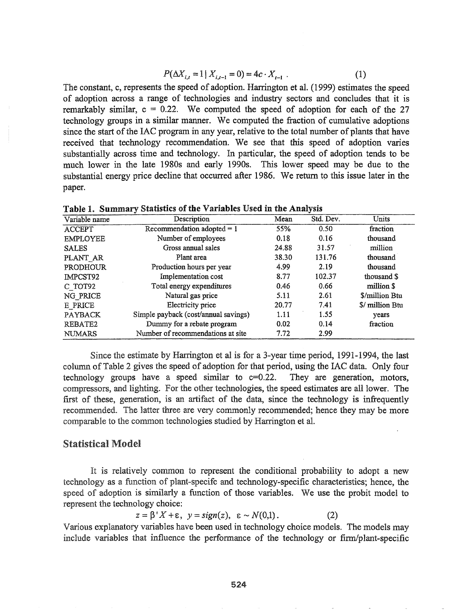$$
P(\Delta X_{i,t} = 1 \mid X_{i,t-1} = 0) = 4c \cdot X_{t-1} \tag{1}
$$

The constant, c, represents the speed of adoption. Harrington et al. (1999) estimates the speed of adoption across a range of technologies and industry sectors and concludes that it is remarkably similar,  $c = 0.22$ . We computed the speed of adoption for each of the 27 technology groups in a similar manner. We computed the fraction of cumulative adoptions since the start of the IAC program in any year, relative to the total number of plants that have received that technology recommendation. We see that this speed of adoption varies substantially across time and technology. In particular, the speed of adoption tends to be much lower in the late 1980s and early 1990s. This lower speed may be due to the substantial energy price decline that occurred after 1986. We return to this issue later in the paper.

|                 |                                      |       | $\tilde{\phantom{a}}$ |                 |
|-----------------|--------------------------------------|-------|-----------------------|-----------------|
| Variable name   | Description                          | Mean  | Std. Dev.             | Units           |
| <b>ACCEPT</b>   | Recommendation adopted $= 1$         | 55%   | 0.50                  | fraction        |
| <b>EMPLOYEE</b> | Number of employees                  | 0.18  | 0.16                  | thousand        |
| <b>SALES</b>    | Gross annual sales                   | 24.88 | 31.57                 | million         |
| PLANT AR        | Plant area                           | 38.30 | 131.76                | thousand        |
| <b>PRODHOUR</b> | Production hours per year            | 4.99  | 2.19                  | thousand        |
| IMPCST92        | Implementation cost                  | 8.77  | 102.37                | thousand \$     |
| C TOT92         | Total energy expenditures            | 0.46  | 0.66                  | million \$      |
| NG_PRICE        | Natural gas price                    | 5.11  | 2.61                  | \$/million Btu  |
| E PRICE         | Electricity price                    | 20.77 | 7.41                  | \$/ million Btu |
| <b>PAYBACK</b>  | Simple payback (cost/annual savings) | 1.11  | 1.55                  | years           |
| REBATE2         | Dummy for a rebate program           | 0.02  | 0.14                  | fraction        |
| <b>NUMARS</b>   | Number of recommendations at site    | 7.72  | 2.99                  |                 |

Table 1. Summary Statistics of the Variables Used in the Analysis

Since the estimate by Harrington et al is for a 3-year time period,  $1991-1994$ , the last column ofTable 2 gives the speed of adoption for that period, using the lAC data. Only four technology groups have a speed similar to  $c=0.22$ . They are generation, motors, compressors, and lighting. For the other technologies, the speed estimates are all lower. The frrst of these, generation, is an artifact of the data, since the technology is infrequently recommended. The latter three are very commonly recommended; hence they may be more comparable to the common technologies studied by Harrington et al.

## Statistical Model

It is relatively common to represent the conditional probability to adopt a new technology as a function of plant-specific and technology-specific characteristics; hence, the speed of adoption is similarly a function of those variables. We use the probit model to represent the technology choice:

$$
z = \beta' X + \varepsilon, \ \ y = sign(z), \ \ \varepsilon \sim N(0,1). \tag{2}
$$

Various explanatory variables have been used in technology choice models. The models may include variables that influence the performance of the technology or firm/plant-specific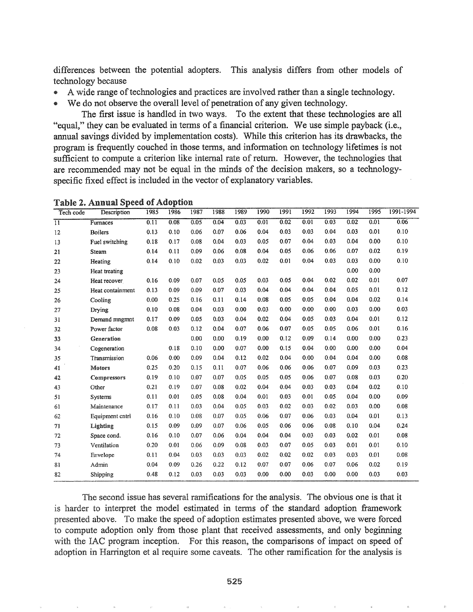differences between the potential adopters. This analysis differs from other models of technology because

- A wide range of technologies and practices are involved rather than a single technology.<br>• We do not observe the overall level of nenetration of any given technology.
- We do not observe the overall level of penetration of any given technology.

The first issue is handled in two ways. To the extent that these technologies are all "equal," they can be evaluated in tenns of a financial criterion. We use simple payback (i.e., annual savings divided by implementation costs). While this criterion has its drawbacks, the program is frequently couched in those tenns, and information on technology lifetimes is not sufficient to compute a criterion like internal rate of return. However, the technologies that are recommended may not be equal in the minds of the decision makers, so a technologyspecific fixed effect is included in the vector of explanatory variables.

| Tech code       | Description        | 1985 | 1986 | 1987 | 1988 | 1989 | 1990 | 1991 | 1992 | 1993 | 1994 | 1995 | 1991-1994 |
|-----------------|--------------------|------|------|------|------|------|------|------|------|------|------|------|-----------|
| $\overline{11}$ | Furnaces           | 0.11 | 0.08 | 0.05 | 0.04 | 0.03 | 0.01 | 0.02 | 0.01 | 0.03 | 0.02 | 0.01 | 0.06      |
| 12              | <b>Boilers</b>     | 0.13 | 0.10 | 0.06 | 0.07 | 0.06 | 0.04 | 0.03 | 0.03 | 0.04 | 0.03 | 0.01 | 0.10      |
| 13              | Fuel switching     | 0.18 | 0.17 | 0.08 | 0.04 | 0.03 | 0.05 | 0.07 | 0.04 | 0.03 | 0.04 | 0.00 | 0.10      |
| 21              | Steam              | 0.14 | 0.11 | 0.09 | 0.06 | 0.08 | 0.04 | 0.05 | 0.06 | 0.06 | 0.07 | 0.02 | 0.19      |
| 22              | Heating            | 0.14 | 0.10 | 0.02 | 0.03 | 0.03 | 0.02 | 0.01 | 0.04 | 0.03 | 0.03 | 0.00 | 0.10      |
| 23              | Heat treating      |      |      |      |      |      |      |      |      |      | 0.00 | 0.00 |           |
| 24              | Heat recover       | 0.16 | 0.09 | 0.07 | 0.05 | 0.05 | 0.03 | 0.05 | 0.04 | 0.02 | 0.02 | 0.01 | 0.07      |
| 25              | Heat containment   | 0.13 | 0.09 | 0.09 | 0.07 | 0.03 | 0.04 | 0.04 | 0.04 | 0.04 | 0.05 | 0.01 | 0.12      |
| 26              | Cooling            | 0.00 | 0.25 | 0.16 | 0.11 | 0.14 | 0.08 | 0.05 | 0.05 | 0.04 | 0.04 | 0.02 | 0.14      |
| 27              | Drying             | 0.10 | 0.08 | 0.04 | 0.03 | 0.00 | 0.03 | 0.00 | 0.00 | 0.00 | 0.03 | 0.00 | 0.03      |
| 31              | Demand mngmnt      | 0.17 | 0.09 | 0.05 | 0.03 | 0.04 | 0.02 | 0.04 | 0.05 | 0.03 | 0.04 | 0.01 | 0.12      |
| 32              | Power factor       | 0.08 | 0.03 | 0.12 | 0.04 | 0.07 | 0.06 | 0.07 | 0.05 | 0.05 | 0.06 | 0.01 | 0.16      |
| 33              | Generation         |      |      | 0.00 | 0.00 | 0.19 | 0.00 | 0.12 | 0.09 | 0.14 | 0.00 | 0.00 | 0.23      |
| 34              | Cogeneration       |      | 0.18 | 0.10 | 0.00 | 0.07 | 0.00 | 0.15 | 0.04 | 0.00 | 0.00 | 0.00 | 0.04      |
| 35              | Transmission       | 0.06 | 0.00 | 0.09 | 0.04 | 0.12 | 0.02 | 0.04 | 0.00 | 0.04 | 0.04 | 0.00 | 0.08      |
| 41              | <b>Motors</b>      | 0.25 | 0.20 | 0.15 | 0.11 | 0.07 | 0.06 | 0.06 | 0.06 | 0.07 | 0.09 | 0.03 | 0.23      |
| 42              | <b>Compressors</b> | 0.19 | 0.10 | 0.07 | 0.07 | 0.05 | 0.05 | 0.05 | 0.06 | 0.07 | 0.08 | 0.03 | 0.20      |
| 43              | Other              | 0.21 | 0.19 | 0.07 | 0.08 | 0.02 | 0.04 | 0.04 | 0.03 | 0.03 | 0.04 | 0.02 | 0.10      |
| 51              | Systems            | 0.11 | 0.01 | 0.05 | 0.08 | 0.04 | 0.01 | 0.03 | 0.01 | 0.05 | 0.04 | 0.00 | 0.09      |
| 61              | Maintenance        | 0.17 | 0.11 | 0.03 | 0.04 | 0.05 | 0.03 | 0.02 | 0.03 | 0.02 | 0.03 | 0.00 | 0.08      |
| 62              | Equipment cntrl    | 0.16 | 0.10 | 0.08 | 0.07 | 0.05 | 0.06 | 0.07 | 0.06 | 0.03 | 0.04 | 0.01 | 0.13      |
| 71              | Lighting           | 0.15 | 0.09 | 0.09 | 0.07 | 0.06 | 0.05 | 0.06 | 0.06 | 0.08 | 0.10 | 0.04 | 0.24      |
| 72              | Space cond.        | 0.16 | 0.10 | 0.07 | 0.06 | 0.04 | 0.04 | 0.04 | 0.03 | 0.03 | 0.02 | 0.01 | 0.08      |
| 73              | Ventilation        | 0.20 | 0.01 | 0.06 | 0.09 | 0.08 | 0.03 | 0.07 | 0.05 | 0.03 | 0.01 | 0.01 | 0.10      |
| 74              | Envelope           | 0.11 | 0.04 | 0.03 | 0.03 | 0.03 | 0.02 | 0.02 | 0.02 | 0.03 | 0.03 | 0.01 | 0.08      |
| 81              | Admin              | 0.04 | 0.09 | 0.26 | 0.22 | 0.12 | 0.07 | 0.07 | 0.06 | 0.07 | 0.06 | 0.02 | 0.19      |
| 82              | Shipping           | 0.48 | 0.12 | 0.03 | 0.03 | 0.03 | 0.00 | 0.00 | 0.03 | 0.00 | 0.00 | 0.03 | 0.03      |

Table 2. Annual Speed of Adoption

The second issue has several ramifications for the analysis. The obvious one is that it is harder to interpret the model estimated in terms of the standard adoption framework presented above. To make the speed of adoption estimates presented above, we were forced to compute adoption only from those plant that received assessments, and only beginning with the IAC program inception. For this reason, the comparisons of impact on speed of adoption in Harrington et al require some caveats. The other ramification for the analysis is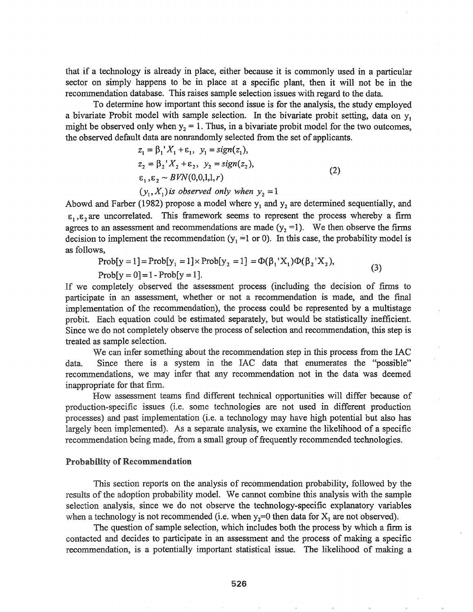that if a technology is already in place, either because it is commonly used in a particular sector on simply happens to be in place at a specific plant, then it will not be in the recommendation database. This raises sample selection issues with regard to the data.

To determine how important this second issue is for the analysis, the study employed a bivariate Probit model with sample selection. In the bivariate probit setting, data on y<sub>1</sub> might be observed only when  $y_2 = 1$ . Thus, in a bivariate probit model for the two outcomes, the observed default data are nonrandomly selected from the set of applicants.

$$
z_{1} = \beta_{1}^{'} X_{1} + \varepsilon_{1}, \ y_{1} = sign(z_{1}),
$$
  
\n
$$
z_{2} = \beta_{2}^{'} X_{2} + \varepsilon_{2}, \ y_{2} = sign(z_{2}),
$$
  
\n
$$
\varepsilon_{1}, \varepsilon_{2} \sim BVN(0, 0, 1, 1, r)
$$
  
\n
$$
(y_{1}, X_{1}) \text{ is observed only when } y_{2} = 1
$$
\n(2)

Abowd and Farber (1982) propose a model where  $y_1$  and  $y_2$  are determined sequentially, and  $\varepsilon_1, \varepsilon_2$  are uncorrelated. This framework seems to represent the process whereby a firm agrees to an assessment and recommendations are made  $(y_2 = 1)$ . We then observe the firms decision to implement the recommendation  $(y_1 = 1 \text{ or } 0)$ . In this case, the probability model is as follows,

(3) Prob[y=l]=Prob[Yl =1]xProb[Y2 =1] =<I>(~1'XI)cI>(P2'X2)' Prob[y =0] =1- Prob[y =1].

If we completely observed the assessment process (including the decision of firms to participate in an assessment, whether or not a recommendation is made, and the final implementation of the recommendation), the process could be represented by a multistage probit. Each equation could be estimated separately, but would be statistically inefficient. Since we do not completely observe the process of selection and recommendation, this step is treated as sample selection..

We can infer something about the recommendation step in this process from the IAC data. Since there is a system in the IAC data that enumerates the "possible" recommendations, we may infer that any recommendation not in the data was deemed inappropriate for that firm.

How assessment teams find different technical opportunities will differ because of production-specific issues (i.e. some technologies are not used in different production processes) and past implementation (i.e. a technology may have high potential but also has largely been implemented). As a separate analysis, we examine the likelihood of a specific recommendation being made, from a small group of frequently recommended technologies.

#### **Probability of Recommendation**

This section reports on the analysis of recommendation probability, followed by the results of the adoption probability model. We cannot combine this analysis with the sample selection analysis, since we do not observe the technology-specific explanatory variables when a technology is not recommended (i.e. when  $y_2=0$  then data for  $X_1$  are not observed).

The question of sample selection, which includes both the process by which a firm is contacted and decides to participate in an assessment and the process of making a specific recommendation, is a potentially important statistical issue. The likelihood of making a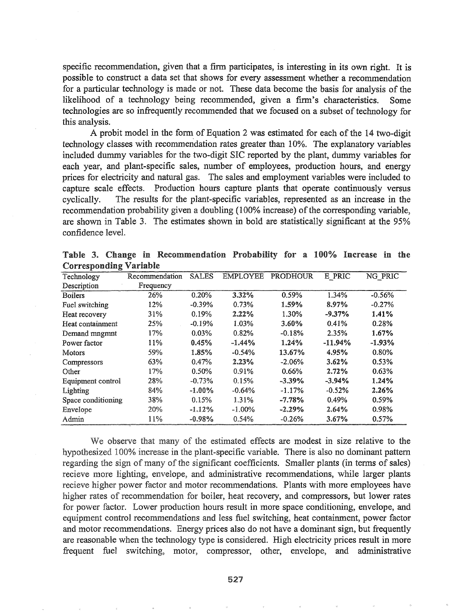specific recommendation, given that a finn participates, is interesting in its own right. It is possible to construct a data set that shows for every assessment whether a recommendation for a particular technology is made or not. These data become the basis for analysis of the likelihood of a technology being recommended, given a finn's characteristics. Some technologies are so infrequently recommended that we focused on a subset of technology for this analysis.

A probit model in the form of Equation 2 was estimated for each of the 14 two-digit technology classes with recommendation rates greater than 10%. The explanatory variables included dummy variables for the two-digit SIC reported by the plant, dummy variables for each year, and plant-specific sales, number of employees, production hours, and energy prices for electricity and natural gas. The sales and employment variables were included to capture scale effects. Production hours capture plants that operate continuously versus cyclically. The results for the plant-specific variables, represented as an increase in the recommendation probability given a doubling (100% increase) of the corresponding variable, are shown in Table 3. The estimates shown in bold are statistically significant at the 95% confidence leveL

|  |                               | Table 3. Change in Recommendation Probability for a 100% Increase in the |  |  |  |  |
|--|-------------------------------|--------------------------------------------------------------------------|--|--|--|--|
|  | <b>Corresponding Variable</b> |                                                                          |  |  |  |  |

| Technology         | Recommendation | <b>SALES</b> | <b>EMPLOYEE</b> | PRODHOUR  | E PRIC    | NG PRIC  |
|--------------------|----------------|--------------|-----------------|-----------|-----------|----------|
| Description        | Frequency      |              |                 |           |           |          |
| <b>Boilers</b>     | 26%            | 0.20%        | 3.32%           | 0.59%     | 1.34%     | $-0.56%$ |
| Fuel switching     | 12%            | $-0.39%$     | 0.73%           | 1.59%     | 8.97%     | $-0.27%$ |
| Heat recovery      | 31%            | 0.19%        | 2.22%           | 1.30%     | $-9.37%$  | 1.41%    |
| Heat containment   | 25%            | $-0.19%$     | 1.03%           | 3.60%     | 0.41%     | 0.28%    |
| Demand mngmnt      | 17%            | 0.03%        | 0.82%           | $-0.18%$  | 2.35%     | 1.67%    |
| Power factor       | 11%            | 0.45%        | $-1.44%$        | 1.24%     | $-11.94%$ | $-1.93%$ |
| <b>Motors</b>      | 59%            | 1.85%        | $-0.54%$        | 13.67%    | 4.95%     | 0.80%    |
| Compressors        | 63%            | 0.47%        | 2.23%           | $-2.06%$  | 3.62%     | 0.53%    |
| Other              | 17%            | 0.50%        | 0.91%           | 0.66%     | 2.72%     | 0.63%    |
| Equipment control  | 28%            | $-0.73%$     | 0.15%           | $-3.39\%$ | $-3.94\%$ | 1.24%    |
| Lighting           | 84%            | $-1.00%$     | $-0.64%$        | $-1.17%$  | $-0.52%$  | 2.26%    |
| Space conditioning | 38%            | 0.15%        | 1.31%           | $-7.78%$  | 0.49%     | 0.59%    |
| Envelope           | 20%            | $-1.12%$     | $-1.00\%$       | $-2.29%$  | 2.64%     | 0.98%    |
| Admin              | 11%            | $-0.98%$     | 0.54%           | $-0.26%$  | 3.67%     | 0.57%    |

We observe that many of the estimated effects are modest in size relative to the hypothesized 100% increase in the plant-specific variable. There is also no dominant pattern regarding the sign of many of the significant coefficients. Smaller plants (in terms of sales) recieve more lighting, envelope, and administrative recommendations, while larger plants recieve higher power factor and motor recommendations. Plants with more employees have higher rates of recommendation for boiler, heat recovery, and compressors, but lower rates for power factor.. Lower production hours result in more space conditioning, envelope, and equipment control recommendations and less fuel switching, heat containment, power factor and motor recommendations. Energy prices also do not have a dominant sign, but frequently are reasonable when the technology type is considered.. High electricity prices result in more frequent fuel switching, motor, compressor, other, envelope, and administrative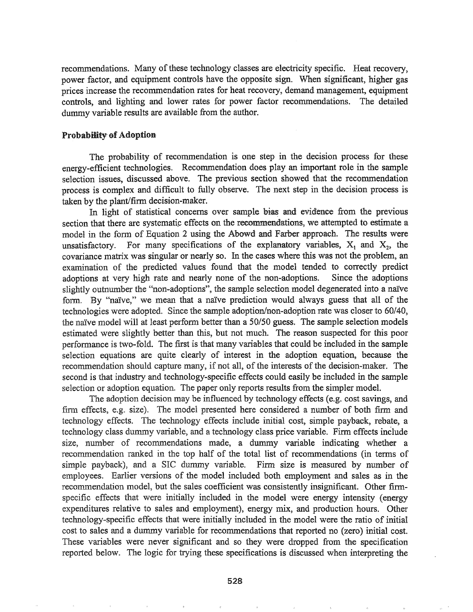recommendations. Many of these technology classes are electricity specific. Heat recovery, power factor, and equipment controls have the opposite sign. When significant, higher gas prices increase the recommendation rates for heat recovery, demand management, equipment controls, and lighting and lower rates for power factor recommendations. The detailed dummy variable results are available from the author.

#### **Probability of Adoption**

The probability of recommendation is one step in the decision process for these energy-efficient technologies. Recommendation does play an important role in the sample selection issues, discussed above. The previous section showed that the recommendation process is complex and difficult to fully observe. The next step in the decision process is taken by the plant/firm decision-maker.

In light of statistical concerns over sample bias and evidence from the previous section that there are systematic effects on the recommendations, we attempted to estimate a model in the form of Equation 2 using, the Abowd and Farber approach. The results were unsatisfactory. For many specifications of the explanatory variables,  $X_1$  and  $X_2$ , the covariance matrix was singular or nearly so. In the cases where this was not the problem, an examination of the predicted values found that the model tended to correctly predict adoptions at very high rate and nearly none of the non-adoptions. Since the adoptions slightly outnumber the "non-adoptions", the sample selection model degenerated into a naïve form. By "naive," we mean that a naive prediction would always guess that all of the technologies were adopted. Since the sample adoption/non-adoption rate was closer to 60/40, the naive model will at least perform better than a 50/50 guess. The sample selection models estimated were slightly better than this, but not much. The reason suspected for this poor perfonnance is two-fold. The first is that many variables that could be included in the sample selection equations are quite clearly of interest in the adoption equation, because the recommendation should capture many, if not all, of the interests of the decision-maker. The second is that industry and technology-specific effects could easily be included in the sample selection or adoption equation. The paper only reports results from the simpler model.

The adoption decision may be influenced by technology effects (e.g. cost savings, and firm effects, e.g. size). The model presented here considered a number of both firm and technology effects. The technology effects include initial cost, simple payback, rebate, a technology class dummy variable, and a technology class price variable. Firm effects include size, number of recommendations made, a dummy variable indicating whether a recommendation ranked in the top half of the total list of recommendations (in terms of simple payback), and a SIC dummy variable. Firm size is measured by number of employees. Earlier versions of the model included both employment and sales as in the recommendation model, but the sales coefficient was consistently insignificant. Other firmspecific effects that were initially included in the model were energy intensity (energy expenditures relative to sales and employment), energy mix, and production hours. Other technology-specific effects that were initially included in the model were the ratio of initial cost to sales and a dummy variable for recommendations that reported no (zero) initial cost. These variables were never significant and so they were dropped from the specification reported below. The logic for trying these specifications is discussed when interpreting the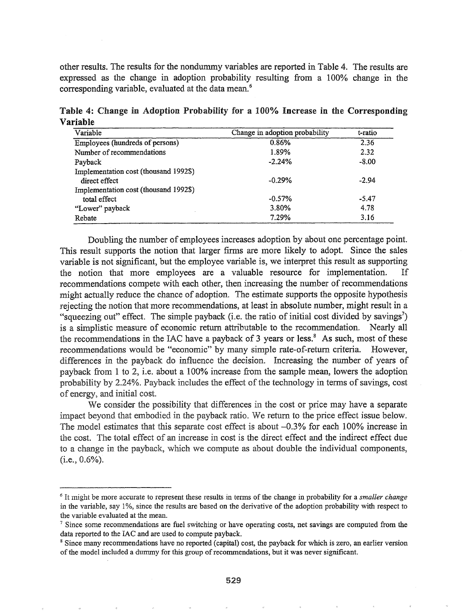other results. The results for the nondummy variables are reported in Table 4. The results are expressed as the change in adoption probability resulting from a 100% change in the corresponding variable, evaluated at the data mean.<sup>6</sup>

Table 4: Change in Adoption Probability for a 100% Increase in the Corresponding Variable

| Variable                              | Change in adoption probability | t-ratio |
|---------------------------------------|--------------------------------|---------|
| Employees (hundreds of persons)       | 0.86%                          | 2.36    |
| Number of recommendations             | 1.89%                          | 2.32    |
| Payback                               | $-2.24%$                       | $-8.00$ |
| Implementation cost (thousand 1992\$) |                                |         |
| direct effect                         | $-0.29%$                       | $-2.94$ |
| Implementation cost (thousand 1992\$) |                                |         |
| total effect                          | $-0.57%$                       | $-5.47$ |
| "Lower" payback                       | 3.80%                          | 4.78    |
| Rebate                                | 7.29%                          | 3.16    |

Doubling the number of employees increases adoption by about one percentage point. This result supports the notion that larger firms are more likely to adopt. Since the sales variable is not significant, but the employee variable is, we interpret this result as supporting the notion that more employees are a valuable resource for implementation. recommendations compete with each other, then increasing the number of recommendations might actually reduce the chance of adoption. The estimate supports the opposite hypothesis rejecting the notion that more recommendations, at least in absolute number, might result in a "squeezing out" effect. The simple payback (i.e. the ratio of initial cost divided by savings<sup>7</sup>) is a simplistic measure of economic return attributable to the recommendation. Nearly all the recommendations in the IAC have a payback of 3 years or less.<sup>8</sup> As such, most of these recommendations would be "economic" by many simple rate-of-return criteria. However, differences in the payback do influence the decision. Increasing the number of years of payback from 1 to 2, i.e. about a 100% increase from the sample mean, lowers the adoption probability by 2.24%. Payback includes the effect of the technology in terms of savings, cost of energy, and initial cost.

We consider the possibility that differences in the cost or price may have a separate impact beyond that embodied in the payback ratio. We return to the price effect issue below. The model estimates that this separate cost effect is about  $-0.3\%$  for each 100% increase in the cost. The total effect of an increase in cost is the direct effect and the indirect effect due to a change in the payback, which we compute as about double the individual components,  $(i.e., 0.6\%)$ .

<sup>6</sup> It might be more accurate to represent these results in terms of the change in probability for a *smaller change* in the variable, say 1%, since the results are based on the derivative of the adoption probability with respect to the variable evaluated at the mean.

<sup>&</sup>lt;sup>7</sup> Since some recommendations are fuel switching or have operating costs, net savings are computed from the data reported to the lAC and are used to compute payback.

<sup>&</sup>lt;sup>8</sup> Since many recommendations have no reported (capital) cost, the payback for which is zero, an earlier version ofthe model included a dummy for this group ofrecommendations, but it was never significant.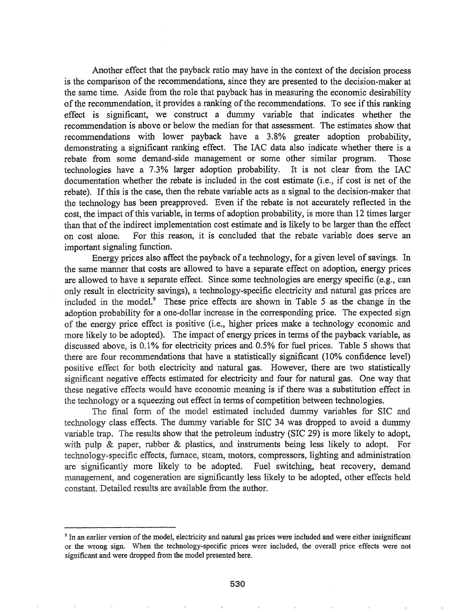Another effect that the payback ratio may have in the context of the decision process is the comparison of the recommendations, since they are presented to the decision-maker at the same time. Aside from the role that payback has in measuring the economic desirability of the recommendation, it provides a ranking of the recommendations. To see if this ranking effect is significant, we construct a dummy variable that indicates whether the recommendation is above or below the median for that assessment. The estimates show that recommendations with lower payback have a 3.8% greater adoption probability, demonstrating a significant ranking effect. The lAC data also indicate whether there is a rebate from some demand-side management or some other similar program. Those technologies have a 7.3% larger adoption probability. It is not clear from the IAC documentation whether the rebate is included in the cost estimate (i.e., if cost is net of the rebate). If this is the case, then the rebate variable acts as a signal to the decision-maker that the technology has been preapproved. Even if the rebate is not accurately reflected in the cost, the impact of this variable, in terms of adoption probability, is more than 12 times larger than that of the indirect implementation cost estimate and is likely to be larger than the effect on cost alone. For this reason, it is concluded that the rebate variable does serve an important signaling function.

Energy prices also affect the payback of a technology, for a given level of savings. In the same manner that costs are allowed to have a separate effect on adoption, energy prices are allowed to have a separate effect. Since some technologies are energy specific (e.g., can only result in electricity savings), a technology-specific electricity and natural gas prices are included in the mode1.<sup>9</sup> These price effects are shown in Table 5 as the change in the adoption probability for a' one-dollar increase in the corresponding price. The expected sign of the energy price effect is positive (i.e., higher prices make a technology economic and more likely to be adopted). The impact of energy prices in terms of the payback variable, as discussed above, is 0.1% for electricity prices and 0.5% for fuel prices. Table 5 shows that there are four recommendations that have a statistically significant (10% confidence level) positive effect for both electricity and natural gas. However, there are two statistically significant negative effects estimated for electricity and four for natural gas. One way that these negative effects would have economic meaning is if there was a substitution effect in the technology or a squeezing out effect in terms of competition between technologies.

The final form of the model estimated included dummy variables for SIC and technology class effects. The dummy variable for SIC 34 was dropped to avoid a dummy variable trap. The results show that the petroleum industry (SIC 29) is more likely to adopt, with pulp & paper, rubber & plastics, and instruments being less likely to adopt. For technology-specific effects, furnace, steam, motors, compressors, lighting and administration are significantly more likely to be adopted. Fuel switching, heat recovery, demand management, and cogeneration are significantly less likely to be adopted, other effects held constant. Detailed results are available from the author.

<sup>&</sup>lt;sup>9</sup> In an earlier version of the model, electricity and natural gas prices were included and were either insignificant or the wrong sign. When the technology-specific prices were included, the overall price effects were not significant and were dropped from the model presented here.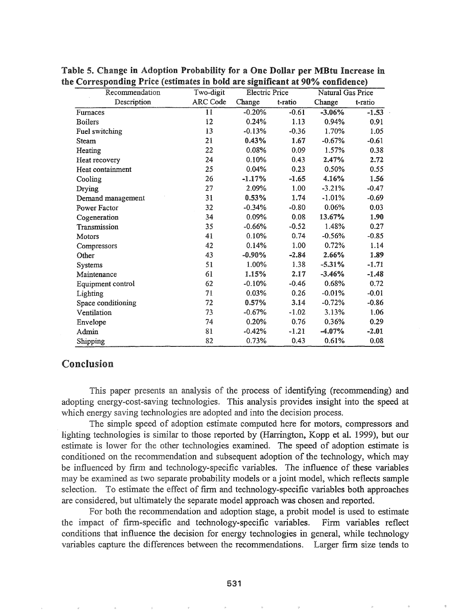| Recommendation     | Two-digit | <b>Electric Price</b> |         | Natural Gas Price |         |  |
|--------------------|-----------|-----------------------|---------|-------------------|---------|--|
| Description        | ARC Code  | Change                | t-ratio | Change            | t-ratio |  |
| Furnaces           | 11        | $-0.20%$              | $-0.61$ | $-3.06%$          | $-1.53$ |  |
| <b>Boilers</b>     | 12        | 0.24%                 | 1.13    | 0.94%             | 0.91    |  |
| Fuel switching     | 13        | $-0.13%$              | $-0.36$ | 1.70%             | 1.05    |  |
| Steam              | 21        | 0.43%                 | 1.67    | $-0.67%$          | $-0.61$ |  |
| Heating            | 22        | 0.08%                 | 0.09    | 1.57%             | 0.38    |  |
| Heat recovery      | 24        | 0.10%                 | 0.43    | 2.47%             | 2.72    |  |
| Heat containment   | 25        | 0.04%                 | 0.23    | 0.50%             | 0.55    |  |
| Cooling            | 26        | $-1.17%$              | $-1.65$ | 4.16%             | 1.56    |  |
| Drying             | 27        | 2.09%                 | 1.00    | $-3.21%$          | $-0.47$ |  |
| Demand management  | 31        | 0.53%                 | 1.74    | $-1.01%$          | $-0.69$ |  |
| Power Factor       | 32        | $-0.34%$              | $-0.80$ | 0.06%             | 0.03    |  |
| Cogeneration       | 34        | 0.09%                 | 0.08    | 13.67%            | 1.90    |  |
| Transmission       | 35        | $-0.66%$              | $-0.52$ | 1.48%             | 0.27    |  |
| Motors             | 41        | 0.10%                 | 0.74    | $-0.56%$          | $-0.85$ |  |
| Compressors        | 42        | 0.14%                 | 1.00    | 0.72%             | 1.14    |  |
| Other              | 43        | $-0.90%$              | $-2.84$ | 2.66%             | 1.89    |  |
| <b>Systems</b>     | 51        | 1.00%                 | 1.38    | $-5.31\%$         | $-1.71$ |  |
| Maintenance        | 61        | 1.15%                 | 2.17    | $-3.46%$          | $-1.48$ |  |
| Equipment control  | 62        | $-0.10%$              | $-0.46$ | 0.68%             | 0.72    |  |
| Lighting           | 71        | 0.03%                 | 0.26    | $-0.01%$          | $-0.01$ |  |
| Space conditioning | 72        | 0.57%                 | 3.14    | $-0.72%$          | $-0.86$ |  |
| Ventilation        | 73        | $-0.67%$              | $-1.02$ | 3.13%             | 1.06    |  |
| Envelope           | 74        | 0.20%                 | 0.76    | 0.36%             | 0.29    |  |
| Admin              | 81        | $-0.42%$              | $-1.21$ | $-4.07%$          | $-2.01$ |  |
| Shipping           | 82        | 0.73%                 | 0.43    | 0.61%             | 0.08    |  |

Table 5. Change in Adoption Probability for a One Dollar per MBtu Increase in the Corresponding Price (estimates in bold are significant at 90% confidence)

## Conclusion

This paper presents an analysis of the process of identifying (recommending) and adopting energy-cost-saving technologies. This analysis provides insight into the speed at which energy saving technologies are adopted and into the decision process.

The simple speed of adoption estimate computed here for motors, compressors and lighting technologies is similar to those reported by (Harrington, Kopp et al. 1999), but our estimate is lower for the other technologies examined. The speed of adoption estimate is conditioned on the recommendation and subsequent adoption of the technology, which may be influenced by firm and technology-specific variables. The influence of these variables may be examined as two separate probability models or a joint model, which reflects sample selection. To estimate the effect of firm and technology-specific variables both approaches are considered, but ultimately the separate model approach was chosen and reported.

For both the recommendation and adoption stage, a probit model is used to estimate the impact of firm-specific and technology-specific variables. Firm variables reflect conditions that influence the decision for energy technologies in general, while technology variables capture the differences between the recommendations. Larger firm size tends to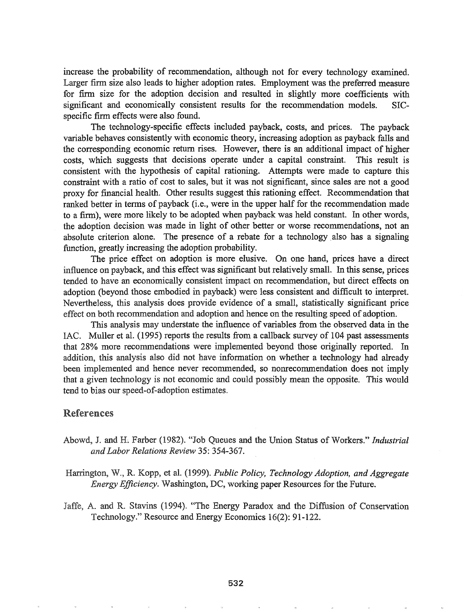increase the probability of recommendation, although not for every technology examined. Larger firm size also leads to higher adoption rates. Employment was the preferred measure for finn size for the adoption decision and resulted in slightly more coefficients with significant and economically consistent results for the recommendation models. SICspecific firm effects were also found.

The technology-specific effects included payback, costs, and prices. The payback variable behaves consistently with economic theory, increasing adoption as payback falls and the corresponding economic return rises. However, there is an additional impact of higher costs, which suggests that decisions operate under a capital constraint. This result is consistent with the hypothesis of capital rationing. Attempts were made to capture this constraint with a ratio of cost to sales, but it was not significant, since sales are not a good proxy for financial health. Other results suggest this rationing effect. Recommendation that ranked better in terms of payback (i.e., were in the upper half for the recommendation made to a finn), were more likely to be adopted when payback was held constant. In other words, the adoption decision was made in light of other better or worse recommendations, not an absolute criterion alone. The presence of a rebate for a technology also has a signaling function, greatly increasing the adoption probability.

The price effect on adoption is more elusive. On one hand, prices have a direct influence on payback, and this effect was significant but relatively small. In this sense, prices tended to have an economically consistent impact on recommendation, but direct effects on adoption (beyond those embodied in payback) were less consistent and difficult to interpret. Nevertheless, this analysis does provide evidence of a small, statistically significant price effect on both recommendation and adoption and hence on the resulting speed of adoption.

This analysis may understate the influence of variables from the observed data in the IAC. Muller et al. (1995) reports the results from a callback survey of 104 past assessments that 28% more recommendations were implemented beyond those originally reported. In addition, this analysis also did not have information on whether a technology had already been implemented and hence never recommended, so nonrecommendation does not imply that a given technology is not economic and could possibly mean the opposite. This would tend to bias our speed-of-adoption estimates.

## References

- Abowd, J. and H. Farber (1982). "Job Queues and the Union Status of Workers." *Industrial and Labor Relations Review* 35: 354-367.
- Harrington, W., R. Kopp, et aL (1999). *Public Policy, Technology Adoption, and Aggregate Energy Efficiency.* Washington, DC, working paper Resources for the Future.
- Jaffe, A. and R. Stavins (1994). "The Energy Paradox and the Diffusion of Conservation Technology." Resource and Energy Economics 16(2): 91-122.